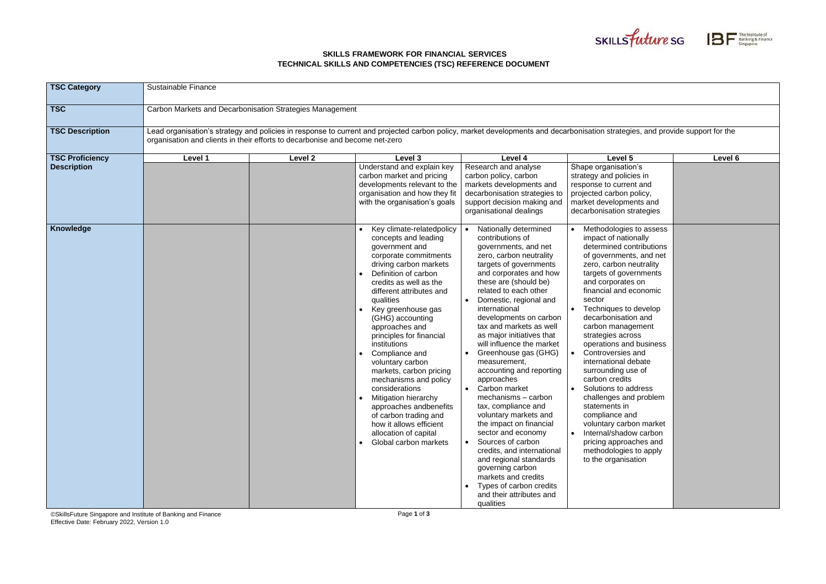## **SKILLS FRAMEWORK FOR FINANCIAL SERVICES TECHNICAL SKILLS AND COMPETENCIES (TSC) REFERENCE DOCUMENT**

©SkillsFuture Singapore and Institute of Banking and Finance Effective Date: February 2022, Version 1.0

Page **1** of **3**





| <b>TSC Category</b>    | <b>Sustainable Finance</b>                                                                                                                                                                                                                                    |         |                                                                                                                                                                                                                                                                                                                                                                                                                                                                                                                                                                                                        |                                                                                                                                                                                                                                                                                                                                                                                                                                                                                                                                                                                                                                                                                                                                                                                     |                                                                                                                                                                                                                                                                                                                                                                                                                                                                                                                                                                                                                                                     |         |  |
|------------------------|---------------------------------------------------------------------------------------------------------------------------------------------------------------------------------------------------------------------------------------------------------------|---------|--------------------------------------------------------------------------------------------------------------------------------------------------------------------------------------------------------------------------------------------------------------------------------------------------------------------------------------------------------------------------------------------------------------------------------------------------------------------------------------------------------------------------------------------------------------------------------------------------------|-------------------------------------------------------------------------------------------------------------------------------------------------------------------------------------------------------------------------------------------------------------------------------------------------------------------------------------------------------------------------------------------------------------------------------------------------------------------------------------------------------------------------------------------------------------------------------------------------------------------------------------------------------------------------------------------------------------------------------------------------------------------------------------|-----------------------------------------------------------------------------------------------------------------------------------------------------------------------------------------------------------------------------------------------------------------------------------------------------------------------------------------------------------------------------------------------------------------------------------------------------------------------------------------------------------------------------------------------------------------------------------------------------------------------------------------------------|---------|--|
| <b>TSC</b>             | Carbon Markets and Decarbonisation Strategies Management                                                                                                                                                                                                      |         |                                                                                                                                                                                                                                                                                                                                                                                                                                                                                                                                                                                                        |                                                                                                                                                                                                                                                                                                                                                                                                                                                                                                                                                                                                                                                                                                                                                                                     |                                                                                                                                                                                                                                                                                                                                                                                                                                                                                                                                                                                                                                                     |         |  |
| <b>TSC Description</b> | Lead organisation's strategy and policies in response to current and projected carbon policy, market developments and decarbonisation strategies, and provide support for the<br>organisation and clients in their efforts to decarbonise and become net-zero |         |                                                                                                                                                                                                                                                                                                                                                                                                                                                                                                                                                                                                        |                                                                                                                                                                                                                                                                                                                                                                                                                                                                                                                                                                                                                                                                                                                                                                                     |                                                                                                                                                                                                                                                                                                                                                                                                                                                                                                                                                                                                                                                     |         |  |
| <b>TSC Proficiency</b> | Level 1                                                                                                                                                                                                                                                       | Level 2 | Level 3                                                                                                                                                                                                                                                                                                                                                                                                                                                                                                                                                                                                | Level 4                                                                                                                                                                                                                                                                                                                                                                                                                                                                                                                                                                                                                                                                                                                                                                             | Level 5                                                                                                                                                                                                                                                                                                                                                                                                                                                                                                                                                                                                                                             | Level 6 |  |
| <b>Description</b>     |                                                                                                                                                                                                                                                               |         | Understand and explain key<br>carbon market and pricing<br>developments relevant to the<br>organisation and how they fit<br>with the organisation's goals                                                                                                                                                                                                                                                                                                                                                                                                                                              | Research and analyse<br>carbon policy, carbon<br>markets developments and<br>decarbonisation strategies to<br>support decision making and<br>organisational dealings                                                                                                                                                                                                                                                                                                                                                                                                                                                                                                                                                                                                                | Shape organisation's<br>strategy and policies in<br>response to current and<br>projected carbon policy,<br>market developments and<br>decarbonisation strategies                                                                                                                                                                                                                                                                                                                                                                                                                                                                                    |         |  |
| Knowledge              |                                                                                                                                                                                                                                                               |         | Key climate-relatedpolicy<br>concepts and leading<br>government and<br>corporate commitments<br>driving carbon markets<br>Definition of carbon<br>credits as well as the<br>different attributes and<br>qualities<br>Key greenhouse gas<br>(GHG) accounting<br>approaches and<br>principles for financial<br>institutions<br>Compliance and<br>voluntary carbon<br>markets, carbon pricing<br>mechanisms and policy<br>considerations<br><b>Mitigation hierarchy</b><br>approaches andbenefits<br>of carbon trading and<br>how it allows efficient<br>allocation of capital<br>• Global carbon markets | Nationally determined<br>contributions of<br>governments, and net<br>zero, carbon neutrality<br>targets of governments<br>and corporates and how<br>these are (should be)<br>related to each other<br>Domestic, regional and<br>international<br>developments on carbon<br>tax and markets as well<br>as major initiatives that<br>will influence the market<br>Greenhouse gas (GHG)<br>measurement,<br>accounting and reporting<br>approaches<br>Carbon market<br>mechanisms - carbon<br>tax, compliance and<br>voluntary markets and<br>the impact on financial<br>sector and economy<br>Sources of carbon<br>credits, and international<br>and regional standards<br>governing carbon<br>markets and credits<br>Types of carbon credits<br>and their attributes and<br>qualities | Methodologies to assess<br>impact of nationally<br>determined contributions<br>of governments, and net<br>zero, carbon neutrality<br>targets of governments<br>and corporates on<br>financial and economic<br>sector<br>Techniques to develop<br>decarbonisation and<br>carbon management<br>strategies across<br>operations and business<br>Controversies and<br>international debate<br>surrounding use of<br>carbon credits<br>Solutions to address<br>challenges and problem<br>statements in<br>compliance and<br>voluntary carbon market<br>Internal/shadow carbon<br>pricing approaches and<br>methodologies to apply<br>to the organisation |         |  |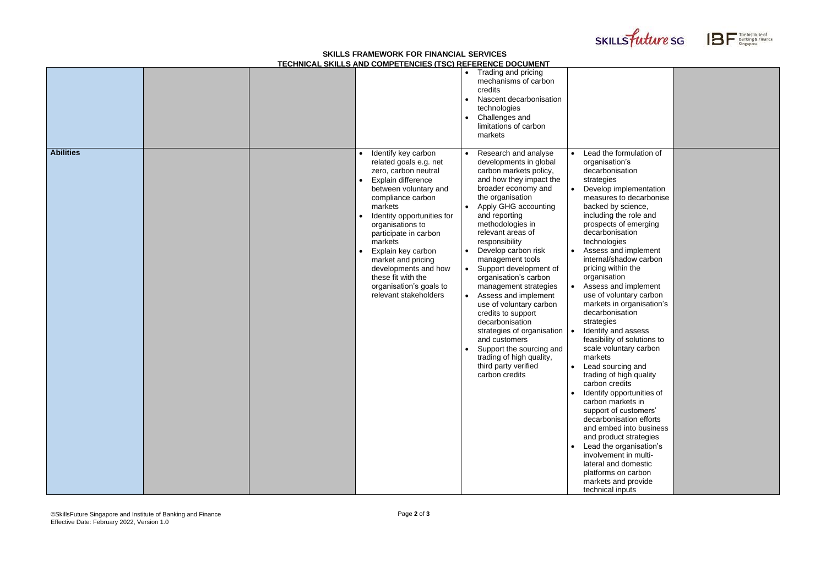## **SKILLS FRAMEWORK FOR FINANCIAL SERVICES TECHNICAL SKILLS AND COMPETENCIES (TSC) REFERENCE DOCUMENT**





|                  |  | <u>I LUI INIUAL UNILLU AND UUMI ETENUILU (TUU) NEI ENENUE DUUUMENT</u>                                                                                                                                                                                                                                                                  |                                                                                                                                                                                                                                                                                                                                                                                                                                                                                                                                                                                                             |                                                                                                                                                                                                                                                                                                                                                                                                                                                                                                                                                                                                                                                                                                                                                                  |                                                                                                           |
|------------------|--|-----------------------------------------------------------------------------------------------------------------------------------------------------------------------------------------------------------------------------------------------------------------------------------------------------------------------------------------|-------------------------------------------------------------------------------------------------------------------------------------------------------------------------------------------------------------------------------------------------------------------------------------------------------------------------------------------------------------------------------------------------------------------------------------------------------------------------------------------------------------------------------------------------------------------------------------------------------------|------------------------------------------------------------------------------------------------------------------------------------------------------------------------------------------------------------------------------------------------------------------------------------------------------------------------------------------------------------------------------------------------------------------------------------------------------------------------------------------------------------------------------------------------------------------------------------------------------------------------------------------------------------------------------------------------------------------------------------------------------------------|-----------------------------------------------------------------------------------------------------------|
| <b>Abilities</b> |  | Identify key carbon<br>related goals e.g. net                                                                                                                                                                                                                                                                                           | Trading and pricing<br>mechanisms of carbon<br>credits<br>Nascent decarbonisation<br>technologies<br>Challenges and<br>$\bullet$<br>limitations of carbon<br>markets<br>Research and analyse<br>$\bullet$<br>developments in global                                                                                                                                                                                                                                                                                                                                                                         | Lead the formulation of<br>organisation's                                                                                                                                                                                                                                                                                                                                                                                                                                                                                                                                                                                                                                                                                                                        |                                                                                                           |
|                  |  | zero, carbon neutral<br>Explain difference<br>between voluntary and<br>compliance carbon<br>markets<br>Identity opportunities for<br>organisations to<br>participate in carbon<br>markets<br>Explain key carbon<br>market and pricing<br>developments and how<br>these fit with the<br>organisation's goals to<br>relevant stakeholders | carbon markets policy,<br>and how they impact the<br>broader economy and<br>the organisation<br>Apply GHG accounting<br>and reporting<br>methodologies in<br>relevant areas of<br>responsibility<br>Develop carbon risk<br>$\bullet$<br>management tools<br>Support development of<br>organisation's carbon<br>management strategies<br>Assess and implement<br>$\bullet$<br>use of voluntary carbon<br>credits to support<br>decarbonisation<br>strategies of organisation<br>and customers<br>Support the sourcing and<br>$\bullet$<br>trading of high quality,<br>third party verified<br>carbon credits | decarbonisation<br>strategies<br>backed by science,<br>including the role and<br>prospects of emerging<br>decarbonisation<br>technologies<br>Assess and implement<br>internal/shadow carbon<br>pricing within the<br>organisation<br>Assess and implement<br>use of voluntary carbon<br>decarbonisation<br>strategies<br>Identify and assess<br>feasibility of solutions to<br>scale voluntary carbon<br>markets<br>Lead sourcing and<br>trading of high quality<br>carbon credits<br>Identify opportunities of<br>carbon markets in<br>support of customers'<br>decarbonisation efforts<br>and product strategies<br>Lead the organisation's<br>involvement in multi-<br>lateral and domestic<br>platforms on carbon<br>markets and provide<br>technical inputs | Develop implementation<br>measures to decarbonise<br>markets in organisation's<br>and embed into business |

| Lead the formulation of<br>organisation's<br>decarbonisation<br>strategies<br>Develop implementation<br>measures to decarbonise<br>backed by science,<br>including the role and<br>prospects of emerging<br>decarbonisation<br>technologies<br>Assess and implement<br>internal/shadow carbon<br>pricing within the<br>organisation<br>Assess and implement<br>use of voluntary carbon<br>markets in organisation's<br>decarbonisation<br>strategies<br>Identify and assess<br>feasibility of solutions to<br>scale voluntary carbon<br>markets |  |
|-------------------------------------------------------------------------------------------------------------------------------------------------------------------------------------------------------------------------------------------------------------------------------------------------------------------------------------------------------------------------------------------------------------------------------------------------------------------------------------------------------------------------------------------------|--|
| Lead sourcing and<br>trading of high quality<br>carbon credits<br>Identify opportunities of<br>carbon markets in<br>support of customers'<br>decarbonisation efforts<br>and embed into business<br>and product strategies<br>Lead the organisation's<br>involvement in multi-<br>lateral and domestic<br>platforms on carbon<br>markets and provide<br>technical innuts                                                                                                                                                                         |  |